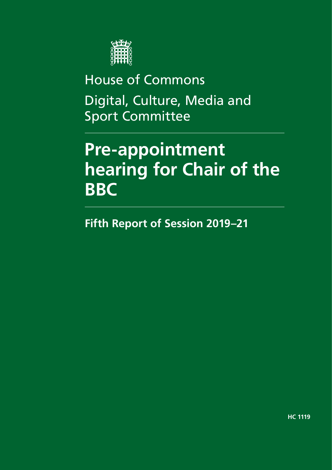

House of Commons Digital, Culture, Media and Sport Committee

# **Pre-appointment hearing for Chair of the BBC**

**Fifth Report of Session 2019–21**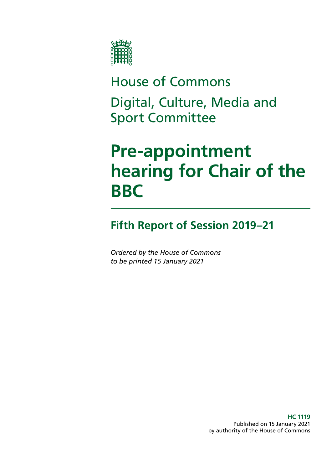

House of Commons Digital, Culture, Media and Sport Committee

# **Pre-appointment hearing for Chair of the BBC**

## **Fifth Report of Session 2019–21**

*Ordered by the House of Commons to be printed 15 January 2021*

> **HC 1119** Published on 15 January 2021 by authority of the House of Commons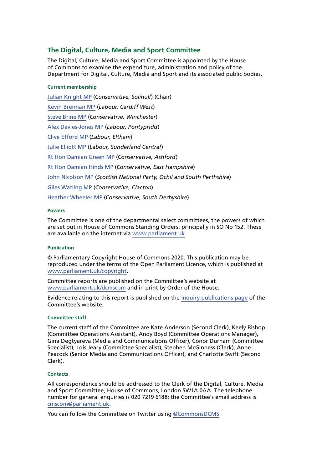#### **The Digital, Culture, Media and Sport Committee**

The Digital, Culture, Media and Sport Committee is appointed by the House of Commons to examine the expenditure, administration and policy of the Department for Digital, Culture, Media and Sport and its associated public bodies.

#### **Current membership**

[Julian Knight MP](https://members.parliament.uk/member/4410/contact) (*Conservative, Solihull*) (Chair) [Kevin Brennan MP](https://members.parliament.uk/member/1400/contact) (*Labour, Cardiff West*) [Steve Brine MP](https://members.parliament.uk/member/4067/contact) (*Conservative, Winchester*) [Alex Davies-Jones MP](https://members.parliament.uk/member/4849/contact) (*Labour, Pontypridd*) [Clive Efford MP](https://members.parliament.uk/member/165/contact) (*Labour, Eltham*) [Julie Elliott MP](https://members.parliament.uk/member/4127/contact) (*Labour, Sunderland Central*) [Rt Hon Damian Green MP](https://members.parliament.uk/member/76/contact) (*Conservative, Ashford*) [Rt Hon Damian Hinds MP](https://members.parliament.uk/member/3969/contact) (*Conservative, East Hampshire*) [John Nicolson MP](https://members.parliament.uk/member/4415/contact) (*Scottish National Party, Ochil and South Perthshire*) [Giles Watling MP](https://members.parliament.uk/member/4677/contact) (*Conservative, Clacton*) [Heather Wheeler MP](https://members.parliament.uk/member/4053/contact) (*Conservative, South Derbyshire*)

#### **Powers**

The Committee is one of the departmental select committees, the powers of which are set out in House of Commons Standing Orders, principally in SO No 152. These are available on the internet via [www.parliament.uk.](https://www.parliament.uk/)

#### **Publication**

© Parliamentary Copyright House of Commons 2020. This publication may be reproduced under the terms of the Open Parliament Licence, which is published at [www.parliament.uk/copyright](https://www.parliament.uk/copyright).

Committee reports are published on the Committee's website at [www.parliament.uk/dcmscom](https://committees.parliament.uk/committee/378/digital-culture-media-and-sport-committee/publications/) and in print by Order of the House.

Evidence relating to this report is published on the [inquiry publications page](https://committees.parliament.uk/work/89/broadband-and-the-road-to-5g/publications/) of the Committee's website.

#### **Committee staff**

The current staff of the Committee are Kate Anderson (Second Clerk), Keely Bishop (Committee Operations Assistant), Andy Boyd (Committee Operations Manager), Gina Degtyareva (Media and Communications Officer), Conor Durham (Committee Specialist), Lois Jeary (Committee Specialist), Stephen McGinness (Clerk), Anne Peacock (Senior Media and Communications Officer), and Charlotte Swift (Second Clerk).

#### **Contacts**

All correspondence should be addressed to the Clerk of the Digital, Culture, Media and Sport Committee, House of Commons, London SW1A 0AA. The telephone number for general enquiries is 020 7219 6188; the Committee's email address is [cmscom@parliament.uk.](mailto:cmscom%40parliament.uk?subject=)

You can follow the Committee on Twitter using [@CommonsDCMS](https://twitter.com/CommonsDCMS)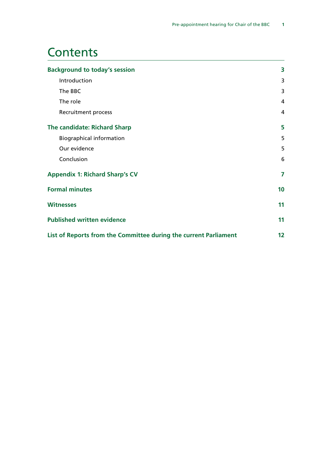### **Contents**

| <b>Background to today's session</b>                             | 3  |
|------------------------------------------------------------------|----|
| Introduction                                                     | 3  |
| The BBC                                                          | 3  |
| The role                                                         | 4  |
| Recruitment process                                              | 4  |
| The candidate: Richard Sharp                                     | 5  |
| <b>Biographical information</b>                                  | 5  |
| Our evidence                                                     | 5  |
| Conclusion                                                       | 6  |
| <b>Appendix 1: Richard Sharp's CV</b>                            | 7  |
| <b>Formal minutes</b>                                            | 10 |
| <b>Witnesses</b>                                                 | 11 |
| <b>Published written evidence</b>                                |    |
| List of Reports from the Committee during the current Parliament |    |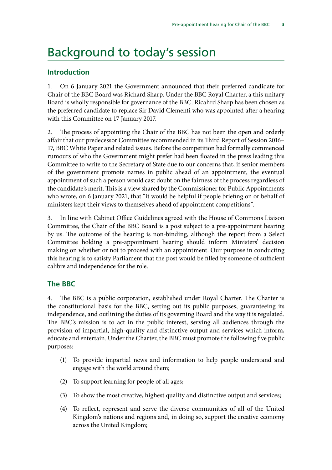### <span id="page-5-0"></span>Background to today's session

#### **Introduction**

1. On 6 January 2021 the Government announced that their preferred candidate for Chair of the BBC Board was Richard Sharp. Under the BBC Royal Charter, a this unitary Board is wholly responsible for governance of the BBC. Ricahrd Sharp has been chosen as the preferred candidate to replace Sir David Clementi who was appointed after a hearing with this Committee on 17 January 2017.

2. The process of appointing the Chair of the BBC has not been the open and orderly affair that our predecessor Committee recommended in its Third Report of Session 2016– 17, BBC White Paper and related issues. Before the competition had formally commenced rumours of who the Government might prefer had been floated in the press leading this Committee to write to the Secretary of State due to our concerns that, if senior members of the government promote names in public ahead of an appointment, the eventual appointment of such a person would cast doubt on the fairness of the process regardless of the candidate's merit. This is a view shared by the Commissioner for Public Appointments who wrote, on 6 January 2021, that "it would be helpful if people briefing on or behalf of ministers kept their views to themselves ahead of appointment competitions".

3. In line with Cabinet Office Guidelines agreed with the House of Commons Liaison Committee, the Chair of the BBC Board is a post subject to a pre-appointment hearing by us. The outcome of the hearing is non-binding, although the report from a Select Committee holding a pre-appointment hearing should inform Ministers' decision making on whether or not to proceed with an appointment. Our purpose in conducting this hearing is to satisfy Parliament that the post would be filled by someone of sufficient calibre and independence for the role.

#### **The BBC**

4. The BBC is a public corporation, established under Royal Charter. The Charter is the constitutional basis for the BBC, setting out its public purposes, guaranteeing its independence, and outlining the duties of its governing Board and the way it is regulated. The BBC's mission is to act in the public interest, serving all audiences through the provision of impartial, high-quality and distinctive output and services which inform, educate and entertain. Under the Charter, the BBC must promote the following five public purposes:

- (1) To provide impartial news and information to help people understand and engage with the world around them;
- (2) To support learning for people of all ages;
- (3) To show the most creative, highest quality and distinctive output and services;
- (4) To reflect, represent and serve the diverse communities of all of the United Kingdom's nations and regions and, in doing so, support the creative economy across the United Kingdom;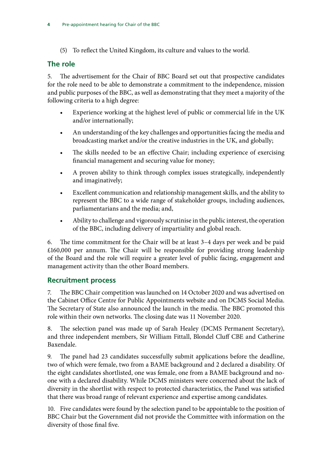<span id="page-6-0"></span>(5) To reflect the United Kingdom, its culture and values to the world.

#### **The role**

5. The advertisement for the Chair of BBC Board set out that prospective candidates for the role need to be able to demonstrate a commitment to the independence, mission and public purposes of the BBC, as well as demonstrating that they meet a majority of the following criteria to a high degree:

- Experience working at the highest level of public or commercial life in the UK and/or internationally;
- An understanding of the key challenges and opportunities facing the media and broadcasting market and/or the creative industries in the UK, and globally;
- The skills needed to be an effective Chair; including experience of exercising financial management and securing value for money;
- A proven ability to think through complex issues strategically, independently and imaginatively;
- Excellent communication and relationship management skills, and the ability to represent the BBC to a wide range of stakeholder groups, including audiences, parliamentarians and the media; and,
- Ability to challenge and vigorously scrutinise in the public interest, the operation of the BBC, including delivery of impartiality and global reach.

6. The time commitment for the Chair will be at least 3–4 days per week and be paid £160,000 per annum. The Chair will be responsible for providing strong leadership of the Board and the role will require a greater level of public facing, engagement and management activity than the other Board members.

#### **Recruitment process**

7. The BBC Chair competition was launched on 14 October 2020 and was advertised on the Cabinet Office Centre for Public Appointments website and on DCMS Social Media. The Secretary of State also announced the launch in the media. The BBC promoted this role within their own networks. The closing date was 11 November 2020.

8. The selection panel was made up of Sarah Healey (DCMS Permanent Secretary), and three independent members, Sir William Fittall, Blondel Cluff CBE and Catherine Baxendale.

9. The panel had 23 candidates successfully submit applications before the deadline, two of which were female, two from a BAME background and 2 declared a disability. Of the eight candidates shortlisted, one was female, one from a BAME background and noone with a declared disability. While DCMS ministers were concerned about the lack of diversity in the shortlist with respect to protected characteristics, the Panel was satisfied that there was broad range of relevant experience and expertise among candidates.

10. Five candidates were found by the selection panel to be appointable to the position of BBC Chair but the Government did not provide the Committee with information on the diversity of those final five.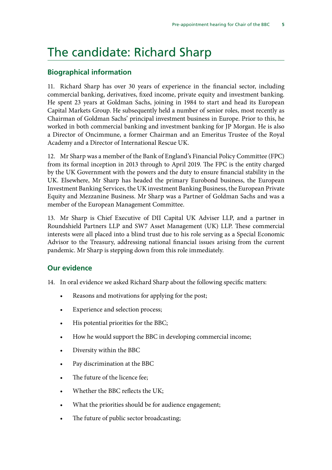## <span id="page-7-0"></span>The candidate: Richard Sharp

#### **Biographical information**

11. Richard Sharp has over 30 years of experience in the financial sector, including commercial banking, derivatives, fixed income, private equity and investment banking. He spent 23 years at Goldman Sachs, joining in 1984 to start and head its European Capital Markets Group. He subsequently held a number of senior roles, most recently as Chairman of Goldman Sachs' principal investment business in Europe. Prior to this, he worked in both commercial banking and investment banking for JP Morgan. He is also a Director of Oncimmune, a former Chairman and an Emeritus Trustee of the Royal Academy and a Director of International Rescue UK.

12. Mr Sharp was a member of the Bank of England's Financial Policy Committee (FPC) from its formal inception in 2013 through to April 2019. The FPC is the entity charged by the UK Government with the powers and the duty to ensure financial stability in the UK. Elsewhere, Mr Sharp has headed the primary Eurobond business, the European Investment Banking Services, the UK investment Banking Business, the European Private Equity and Mezzanine Business. Mr Sharp was a Partner of Goldman Sachs and was a member of the European Management Committee.

13. Mr Sharp is Chief Executive of DII Capital UK Adviser LLP, and a partner in Roundshield Partners LLP and SW7 Asset Management (UK) LLP. These commercial interests were all placed into a blind trust due to his role serving as a Special Economic Advisor to the Treasury, addressing national financial issues arising from the current pandemic. Mr Sharp is stepping down from this role immediately.

#### **Our evidence**

- 14. In oral evidence we asked Richard Sharp about the following specific matters:
	- Reasons and motivations for applying for the post;
	- Experience and selection process;
	- His potential priorities for the BBC;
	- How he would support the BBC in developing commercial income;
	- Diversity within the BBC
	- Pay discrimination at the BBC
	- The future of the licence fee;
	- Whether the BBC reflects the UK;
	- What the priorities should be for audience engagement;
	- The future of public sector broadcasting;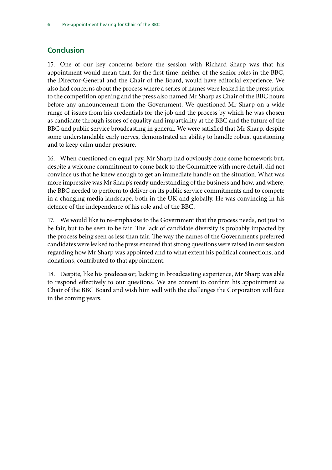#### <span id="page-8-0"></span>**Conclusion**

15. One of our key concerns before the session with Richard Sharp was that his appointment would mean that, for the first time, neither of the senior roles in the BBC, the Director-General and the Chair of the Board, would have editorial experience. We also had concerns about the process where a series of names were leaked in the press prior to the competition opening and the press also named Mr Sharp as Chair of the BBC hours before any announcement from the Government. We questioned Mr Sharp on a wide range of issues from his credentials for the job and the process by which he was chosen as candidate through issues of equality and impartiality at the BBC and the future of the BBC and public service broadcasting in general. We were satisfied that Mr Sharp, despite some understandable early nerves, demonstrated an ability to handle robust questioning and to keep calm under pressure.

16. When questioned on equal pay, Mr Sharp had obviously done some homework but, despite a welcome commitment to come back to the Committee with more detail, did not convince us that he knew enough to get an immediate handle on the situation. What was more impressive was Mr Sharp's ready understanding of the business and how, and where, the BBC needed to perform to deliver on its public service commitments and to compete in a changing media landscape, both in the UK and globally. He was convincing in his defence of the independence of his role and of the BBC.

17. We would like to re-emphasise to the Government that the process needs, not just to be fair, but to be seen to be fair. The lack of candidate diversity is probably impacted by the process being seen as less than fair. The way the names of the Government's preferred candidates were leaked to the press ensured that strong questions were raised in our session regarding how Mr Sharp was appointed and to what extent his political connections, and donations, contributed to that appointment.

18. Despite, like his predecessor, lacking in broadcasting experience, Mr Sharp was able to respond effectively to our questions. We are content to confirm his appointment as Chair of the BBC Board and wish him well with the challenges the Corporation will face in the coming years.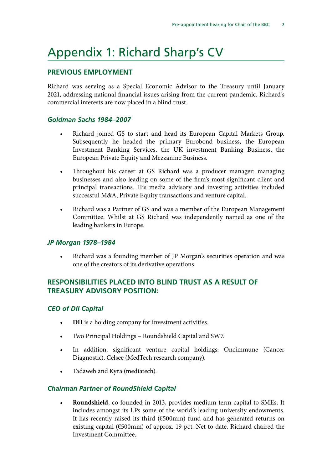# <span id="page-9-0"></span>Appendix 1: Richard Sharp's CV

#### **PREVIOUS EMPLOYMENT**

Richard was serving as a Special Economic Advisor to the Treasury until January 2021, addressing national financial issues arising from the current pandemic. Richard's commercial interests are now placed in a blind trust.

#### *Goldman Sachs 1984–2007*

- Richard joined GS to start and head its European Capital Markets Group. Subsequently he headed the primary Eurobond business, the European Investment Banking Services, the UK investment Banking Business, the European Private Equity and Mezzanine Business.
- Throughout his career at GS Richard was a producer manager: managing businesses and also leading on some of the firm's most significant client and principal transactions. His media advisory and investing activities included successful M&A, Private Equity transactions and venture capital.
- Richard was a Partner of GS and was a member of the European Management Committee. Whilst at GS Richard was independently named as one of the leading bankers in Europe.

#### *JP Morgan 1978–1984*

• Richard was a founding member of JP Morgan's securities operation and was one of the creators of its derivative operations.

#### **RESPONSIBILITIES PLACED INTO BLIND TRUST AS A RESULT OF TREASURY ADVISORY POSITION:**

#### *CEO of DII Capital*

- **DII** is a holding company for investment activities.
- Two Principal Holdings Roundshield Capital and SW7.
- In addition, significant venture capital holdings: Oncimmune (Cancer Diagnostic), Celsee (MedTech research company).
- Tadaweb and Kyra (mediatech).

#### *Chairman Partner of RoundShield Capital*

• **Roundshield**, co-founded in 2013, provides medium term capital to SMEs. It includes amongst its LPs some of the world's leading university endowments. It has recently raised its third (€500mm) fund and has generated returns on existing capital (€500mm) of approx. 19 pct. Net to date. Richard chaired the Investment Committee.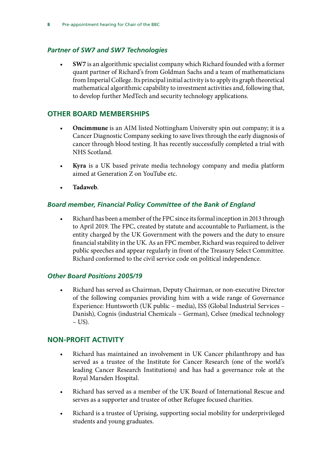#### *Partner of SW7 and SW7 Technologies*

• **SW7** is an algorithmic specialist company which Richard founded with a former quant partner of Richard's from Goldman Sachs and a team of mathematicians from Imperial College. Its principal initial activity is to apply its graph theoretical mathematical algorithmic capability to investment activities and, following that, to develop further MedTech and security technology applications.

#### **OTHER BOARD MEMBERSHIPS**

- **Oncimmune** is an AIM listed Nottingham University spin out company; it is a Cancer Diagnostic Company seeking to save lives through the early diagnosis of cancer through blood testing. It has recently successfully completed a trial with NHS Scotland.
- **Kyra** is a UK based private media technology company and media platform aimed at Generation Z on YouTube etc.
- **Tadaweb**.

#### *Board member, Financial Policy Committee of the Bank of England*

• Richard has been a member of the FPC since its formal inception in 2013 through to April 2019. The FPC, created by statute and accountable to Parliament, is the entity charged by the UK Government with the powers and the duty to ensure financial stability in the UK. As an FPC member, Richard was required to deliver public speeches and appear regularly in front of the Treasury Select Committee. Richard conformed to the civil service code on political independence.

#### *Other Board Positions 2005/19*

• Richard has served as Chairman, Deputy Chairman, or non-executive Director of the following companies providing him with a wide range of Governance Experience: Huntsworth (UK public – media), ISS (Global Industrial Services – Danish), Cognis (industrial Chemicals – German), Celsee (medical technology  $- US$ ).

#### **NON-PROFIT ACTIVITY**

- Richard has maintained an involvement in UK Cancer philanthropy and has served as a trustee of the Institute for Cancer Research (one of the world's leading Cancer Research Institutions) and has had a governance role at the Royal Marsden Hospital.
- Richard has served as a member of the UK Board of International Rescue and serves as a supporter and trustee of other Refugee focused charities.
- Richard is a trustee of Uprising, supporting social mobility for underprivileged students and young graduates.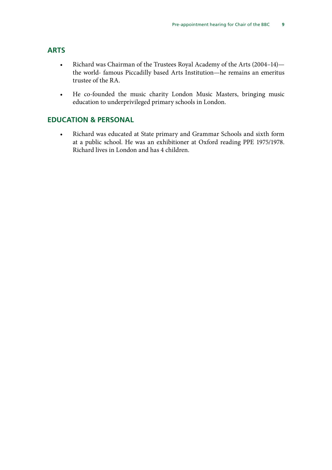#### **ARTS**

- Richard was Chairman of the Trustees Royal Academy of the Arts (2004–14) the world- famous Piccadilly based Arts Institution—he remains an emeritus trustee of the RA.
- He co-founded the music charity London Music Masters, bringing music education to underprivileged primary schools in London.

#### **EDUCATION & PERSONAL**

• Richard was educated at State primary and Grammar Schools and sixth form at a public school. He was an exhibitioner at Oxford reading PPE 1975/1978. Richard lives in London and has 4 children.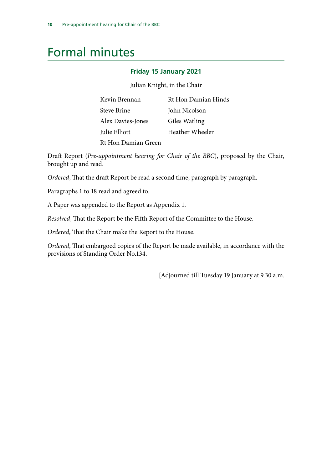# <span id="page-12-0"></span>Formal minutes

#### **Friday 15 January 2021**

Julian Knight, in the Chair

| Kevin Brennan       | Rt Hon Damian Hinds |
|---------------------|---------------------|
| Steve Brine         | John Nicolson       |
| Alex Davies-Jones   | Giles Watling       |
| Julie Elliott       | Heather Wheeler     |
| Rt Hon Damian Green |                     |

Draft Report (*Pre-appointment hearing for Chair of the BBC*), proposed by the Chair, brought up and read.

*Ordered*, That the draft Report be read a second time, paragraph by paragraph.

Paragraphs 1 to 18 read and agreed to.

A Paper was appended to the Report as Appendix 1.

*Resolved*, That the Report be the Fifth Report of the Committee to the House.

*Ordered*, That the Chair make the Report to the House.

*Ordered*, That embargoed copies of the Report be made available, in accordance with the provisions of Standing Order No.134.

[Adjourned till Tuesday 19 January at 9.30 a.m.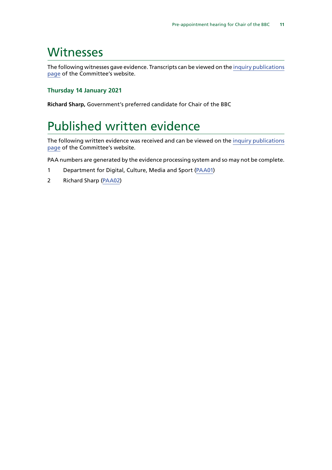### <span id="page-13-0"></span>Witnesses

The following witnesses gave evidence. Transcripts can be viewed on the [inquiry publications](https://committees.parliament.uk/work/926/preappointment-hearing-for-chair-of-the-bbc/publications/) [page](https://committees.parliament.uk/work/926/preappointment-hearing-for-chair-of-the-bbc/publications/) of the Committee's website.

#### **Thursday 14 January 2021**

**Richard Sharp,** Government's preferred candidate for Chair of the BBC

## Published written evidence

The following written evidence was received and can be viewed on the [inquiry publications](https://committees.parliament.uk/work/926/preappointment-hearing-for-chair-of-the-bbc/publications/) [page](https://committees.parliament.uk/work/926/preappointment-hearing-for-chair-of-the-bbc/publications/) of the Committee's website.

PAA numbers are generated by the evidence processing system and so may not be complete.

- 1 Department for Digital, Culture, Media and Sport ([PAA01](https://committees.parliament.uk/work/926/preappointment-hearing-for-chair-of-the-bbc/publications/))
- 2 Richard Sharp [\(PAA02\)](https://committees.parliament.uk/writtenevidence/21298/pdf/)